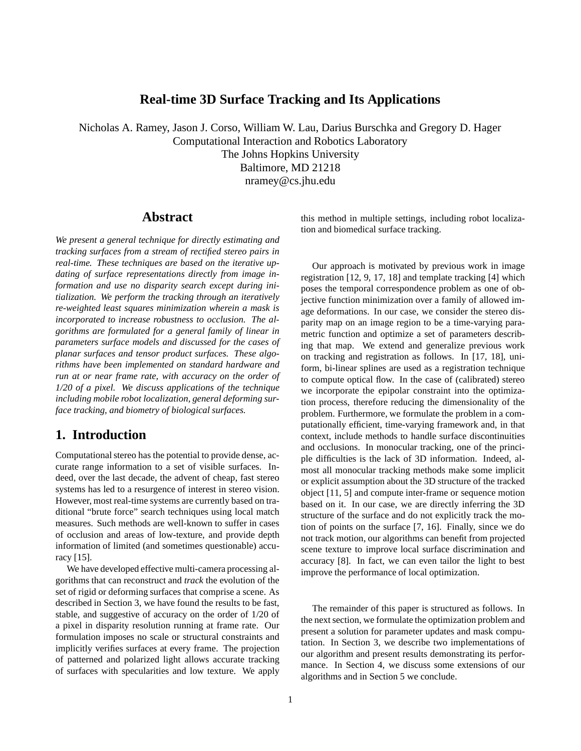## **Real-time 3D Surface Tracking and Its Applications**

Nicholas A. Ramey, Jason J. Corso, William W. Lau, Darius Burschka and Gregory D. Hager Computational Interaction and Robotics Laboratory The Johns Hopkins University Baltimore, MD 21218 nramey@cs.jhu.edu

### **Abstract**

*We present a general technique for directly estimating and tracking surfaces from a stream of rectified stereo pairs in real-time. These techniques are based on the iterative updating of surface representations directly from image information and use no disparity search except during initialization. We perform the tracking through an iteratively re-weighted least squares minimization wherein a mask is incorporated to increase robustness to occlusion. The algorithms are formulated for a general family of linear in parameters surface models and discussed for the cases of planar surfaces and tensor product surfaces. These algorithms have been implemented on standard hardware and run at or near frame rate, with accuracy on the order of 1/20 of a pixel. We discuss applications of the technique including mobile robot localization, general deforming surface tracking, and biometry of biological surfaces.*

## **1. Introduction**

Computational stereo has the potential to provide dense, accurate range information to a set of visible surfaces. Indeed, over the last decade, the advent of cheap, fast stereo systems has led to a resurgence of interest in stereo vision. However, most real-time systems are currently based on traditional "brute force" search techniques using local match measures. Such methods are well-known to suffer in cases of occlusion and areas of low-texture, and provide depth information of limited (and sometimes questionable) accuracy [15].

We have developed effective multi-camera processing algorithms that can reconstruct and *track* the evolution of the set of rigid or deforming surfaces that comprise a scene. As described in Section 3, we have found the results to be fast, stable, and suggestive of accuracy on the order of 1/20 of a pixel in disparity resolution running at frame rate. Our formulation imposes no scale or structural constraints and implicitly verifies surfaces at every frame. The projection of patterned and polarized light allows accurate tracking of surfaces with specularities and low texture. We apply

this method in multiple settings, including robot localization and biomedical surface tracking.

Our approach is motivated by previous work in image registration [12, 9, 17, 18] and template tracking [4] which poses the temporal correspondence problem as one of objective function minimization over a family of allowed image deformations. In our case, we consider the stereo disparity map on an image region to be a time-varying parametric function and optimize a set of parameters describing that map. We extend and generalize previous work on tracking and registration as follows. In [17, 18], uniform, bi-linear splines are used as a registration technique to compute optical flow. In the case of (calibrated) stereo we incorporate the epipolar constraint into the optimization process, therefore reducing the dimensionality of the problem. Furthermore, we formulate the problem in a computationally efficient, time-varying framework and, in that context, include methods to handle surface discontinuities and occlusions. In monocular tracking, one of the principle difficulties is the lack of 3D information. Indeed, almost all monocular tracking methods make some implicit or explicit assumption about the 3D structure of the tracked object [11, 5] and compute inter-frame or sequence motion based on it. In our case, we are directly inferring the 3D structure of the surface and do not explicitly track the motion of points on the surface [7, 16]. Finally, since we do not track motion, our algorithms can benefit from projected scene texture to improve local surface discrimination and accuracy [8]. In fact, we can even tailor the light to best improve the performance of local optimization.

The remainder of this paper is structured as follows. In the next section, we formulate the optimization problem and present a solution for parameter updates and mask computation. In Section 3, we describe two implementations of our algorithm and present results demonstrating its performance. In Section 4, we discuss some extensions of our algorithms and in Section 5 we conclude.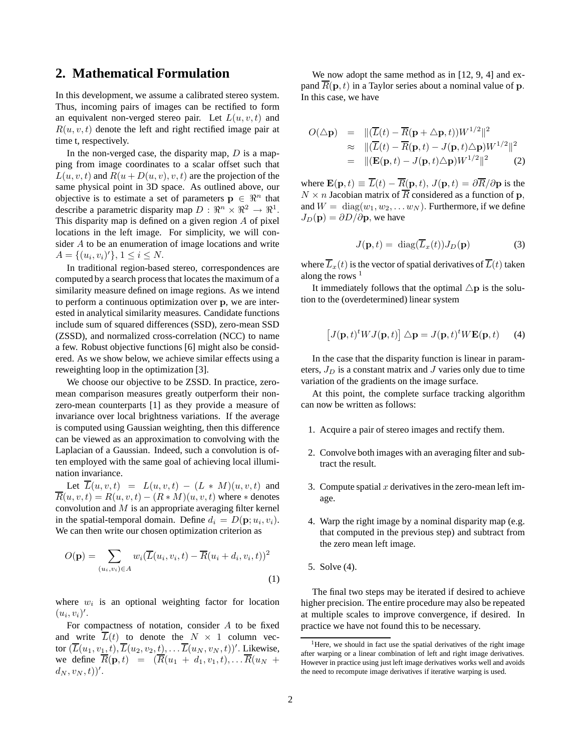## **2. Mathematical Formulation**

In this development, we assume a calibrated stereo system. Thus, incoming pairs of images can be rectified to form an equivalent non-verged stereo pair. Let  $L(u, v, t)$  and  $R(u, v, t)$  denote the left and right rectified image pair at time t, respectively.

In the non-verged case, the disparity map,  $D$  is a mapping from image coordinates to a scalar offset such that  $L(u, v, t)$  and  $R(u + D(u, v), v, t)$  are the projection of the same physical point in 3D space. As outlined above, our objective is to estimate a set of parameters  $\mathbf{p} \in \mathbb{R}^n$  that describe a parametric disparity map  $D: \mathbb{R}^n \times \mathbb{R}^2 \to \mathbb{R}^1$ . This disparity map is defined on a given region A of pixel locations in the left image. For simplicity, we will consider A to be an enumeration of image locations and write  $A = \{(u_i, v_i)'\}, 1 \le i \le N.$ 

In traditional region-based stereo, correspondences are computed by a search processthat locates the maximum of a similarity measure defined on image regions. As we intend to perform a continuous optimization over p, we are interested in analytical similarity measures. Candidate functions include sum of squared differences (SSD), zero-mean SSD (ZSSD), and normalized cross-correlation (NCC) to name a few. Robust objective functions [6] might also be considered. As we show below, we achieve similar effects using a reweighting loop in the optimization [3].

We choose our objective to be ZSSD. In practice, zeromean comparison measures greatly outperform their nonzero-mean counterparts [1] as they provide a measure of invariance over local brightness variations. If the average is computed using Gaussian weighting, then this difference can be viewed as an approximation to convolving with the Laplacian of a Gaussian. Indeed, such a convolution is often employed with the same goal of achieving local illumination invariance.

Let  $\overline{L}(u, v, t) = L(u, v, t) - (L * M)(u, v, t)$  and  $\overline{R}(u, v, t) = R(u, v, t) - (R * M)(u, v, t)$  where  $*$  denotes convolution and  $M$  is an appropriate averaging filter kernel in the spatial-temporal domain. Define  $d_i = D(\mathbf{p}; u_i, v_i)$ . We can then write our chosen optimization criterion as

$$
O(\mathbf{p}) = \sum_{(u_i, v_i) \in A} w_i (\overline{L}(u_i, v_i, t) - \overline{R}(u_i + d_i, v_i, t))^2
$$
\n(1)

where  $w_i$  is an optional weighting factor for location  $(u_i, v_i)$ '.

For compactness of notation, consider  $A$  to be fixed and write  $\overline{L}(t)$  to denote the  $N \times 1$  column vector  $(\overline{L}(u_1, v_1, t), \overline{L}(u_2, v_2, t), \dots \overline{L}(u_N, v_N, t))'$ . Likewise, we define  $\overline{R}(\mathbf{p},t) = (\overline{R}(u_1 + d_1, v_1,t), \dots, \overline{R}(u_N +$  $(d_N, v_N, t))'.$ 

We now adopt the same method as in [12, 9, 4] and expand  $\overline{R}(\mathbf{p},t)$  in a Taylor series about a nominal value of p. In this case, we have

$$
O(\triangle \mathbf{p}) = \|(\overline{L}(t) - \overline{R}(\mathbf{p} + \triangle \mathbf{p}, t))W^{1/2}\|^2
$$
  
\n
$$
\approx \|(\overline{L}(t) - \overline{R}(\mathbf{p}, t) - J(\mathbf{p}, t)\triangle \mathbf{p})W^{1/2}\|^2
$$
  
\n
$$
= \|(\mathbf{E}(\mathbf{p}, t) - J(\mathbf{p}, t)\triangle \mathbf{p})W^{1/2}\|^2 \tag{2}
$$

where  $\mathbf{E}(\mathbf{p},t) \equiv \overline{L}(t) - \overline{R}(\mathbf{p},t), J(\mathbf{p},t) = \partial \overline{R}/\partial \mathbf{p}$  is the  $N \times n$  Jacobian matrix of  $\overline{R}$  considered as a function of p, and  $W = \text{diag}(w_1, w_2, \dots w_N)$ . Furthermore, if we define  $J_D(\mathbf{p}) = \partial D/\partial \mathbf{p}$ , we have

$$
J(\mathbf{p},t) = \text{diag}(\overline{L}_x(t))J_D(\mathbf{p})
$$
 (3)

where  $\overline{L}_x(t)$  is the vector of spatial derivatives of  $\overline{L}(t)$  taken along the rows<sup>1</sup>

It immediately follows that the optimal  $\triangle p$  is the solution to the (overdetermined) linear system

$$
[J(\mathbf{p},t)^t W J(\mathbf{p},t)] \triangle \mathbf{p} = J(\mathbf{p},t)^t W \mathbf{E}(\mathbf{p},t)
$$
 (4)

In the case that the disparity function is linear in parameters,  $J_D$  is a constant matrix and J varies only due to time variation of the gradients on the image surface.

At this point, the complete surface tracking algorithm can now be written as follows:

- 1. Acquire a pair of stereo images and rectify them.
- 2. Convolve both images with an averaging filter and subtract the result.
- 3. Compute spatial  $x$  derivatives in the zero-mean left image.
- 4. Warp the right image by a nominal disparity map (e.g. that computed in the previous step) and subtract from the zero mean left image.
- 5. Solve (4).

The final two steps may be iterated if desired to achieve higher precision. The entire procedure may also be repeated at multiple scales to improve convergence, if desired. In practice we have not found this to be necessary.

<sup>&</sup>lt;sup>1</sup>Here, we should in fact use the spatial derivatives of the right image after warping or a linear combination of left and right image derivatives. However in practice using just left image derivatives works well and avoids the need to recompute image derivatives if iterative warping is used.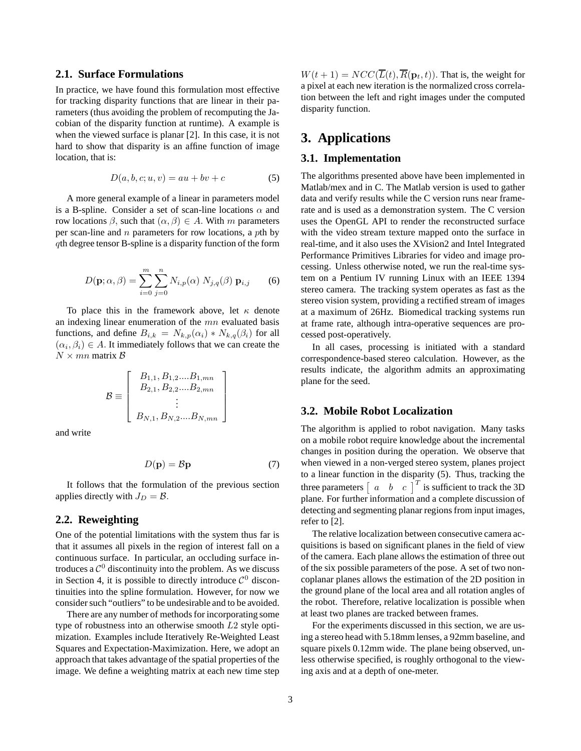### **2.1. Surface Formulations**

In practice, we have found this formulation most effective for tracking disparity functions that are linear in their parameters (thus avoiding the problem of recomputing the Jacobian of the disparity function at runtime). A example is when the viewed surface is planar [2]. In this case, it is not hard to show that disparity is an affine function of image location, that is:

$$
D(a, b, c; u, v) = au + bv + c \tag{5}
$$

A more general example of a linear in parameters model is a B-spline. Consider a set of scan-line locations  $\alpha$  and row locations  $\beta$ , such that  $(α, β) ∈ A$ . With m parameters per scan-line and  $n$  parameters for row locations, a pth by qth degree tensor B-spline is a disparity function of the form

$$
D(\mathbf{p}; \alpha, \beta) = \sum_{i=0}^{m} \sum_{j=0}^{n} N_{i,p}(\alpha) N_{j,q}(\beta) \mathbf{p}_{i,j}
$$
 (6)

To place this in the framework above, let  $\kappa$  denote an indexing linear enumeration of the  $mn$  evaluated basis functions, and define  $B_{i,k} = N_{k,p}(\alpha_i) * N_{k,q}(\beta_i)$  for all  $(\alpha_i, \beta_i) \in A$ . It immediately follows that we can create the  $N \times mn$  matrix  $\beta$ 

$$
\mathcal{B} \equiv \left[ \begin{array}{c} B_{1,1}, B_{1,2}....B_{1,mn} \\ B_{2,1}, B_{2,2}....B_{2,mn} \\ \vdots \\ B_{N,1}, B_{N,2}....B_{N,mn} \end{array} \right]
$$

and write

$$
D(\mathbf{p}) = \mathcal{B}\mathbf{p} \tag{7}
$$

It follows that the formulation of the previous section applies directly with  $J_D = \mathcal{B}$ .

### **2.2. Reweighting**

One of the potential limitations with the system thus far is that it assumes all pixels in the region of interest fall on a continuous surface. In particular, an occluding surface introduces a  $\mathcal{C}^0$  discontinuity into the problem. As we discuss in Section 4, it is possible to directly introduce  $\mathcal{C}^0$  discontinuities into the spline formulation. However, for now we consider such "outliers" to be undesirable and to be avoided.

There are any number of methods for incorporating some type of robustness into an otherwise smooth L2 style optimization. Examples include Iteratively Re-Weighted Least Squares and Expectation-Maximization. Here, we adopt an approach that takes advantage of the spatial properties of the image. We define a weighting matrix at each new time step

 $W(t + 1) = NCC(\overline{L}(t), \overline{R}(\mathbf{p}_t, t))$ . That is, the weight for a pixel at each new iteration is the normalized cross correlation between the left and right images under the computed disparity function.

## **3. Applications**

### **3.1. Implementation**

The algorithms presented above have been implemented in Matlab/mex and in C. The Matlab version is used to gather data and verify results while the C version runs near framerate and is used as a demonstration system. The C version uses the OpenGL API to render the reconstructed surface with the video stream texture mapped onto the surface in real-time, and it also uses the XVision2 and Intel Integrated Performance Primitives Libraries for video and image processing. Unless otherwise noted, we run the real-time system on a Pentium IV running Linux with an IEEE 1394 stereo camera. The tracking system operates as fast as the stereo vision system, providing a rectified stream of images at a maximum of 26Hz. Biomedical tracking systems run at frame rate, although intra-operative sequences are processed post-operatively.

In all cases, processing is initiated with a standard correspondence-based stereo calculation. However, as the results indicate, the algorithm admits an approximating plane for the seed.

### **3.2. Mobile Robot Localization**

The algorithm is applied to robot navigation. Many tasks on a mobile robot require knowledge about the incremental changes in position during the operation. We observe that when viewed in a non-verged stereo system, planes project to a linear function in the disparity (5). Thus, tracking the three parameters  $\begin{bmatrix} a & b & c \end{bmatrix}^T$  is sufficient to track the 3D plane. For further information and a complete discussion of detecting and segmenting planar regions from input images, refer to [2].

The relative localization between consecutive camera acquisitions is based on significant planes in the field of view of the camera. Each plane allows the estimation of three out of the six possible parameters of the pose. A set of two noncoplanar planes allows the estimation of the 2D position in the ground plane of the local area and all rotation angles of the robot. Therefore, relative localization is possible when at least two planes are tracked between frames.

For the experiments discussed in this section, we are using a stereo head with 5.18mm lenses, a 92mm baseline, and square pixels 0.12mm wide. The plane being observed, unless otherwise specified, is roughly orthogonal to the viewing axis and at a depth of one-meter.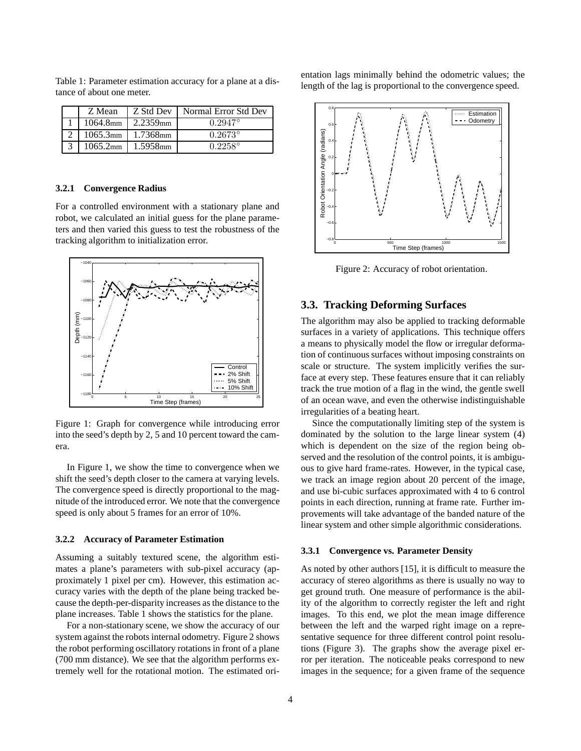| Z Mean      | Z Std Dev              | Normal Error Std Dev |
|-------------|------------------------|----------------------|
| $1064.8$ mm | 2.2359 <sub>mm</sub>   | $0.2947$ °           |
|             | $1065.3$ mm   1.7368mm | $0.2673^{\circ}$     |
| $1065.2$ mm | 1.5958 <sub>mm</sub>   | $0.2258^{\circ}$     |

Table 1: Parameter estimation accuracy for a plane at a distance of about one meter.

#### **3.2.1 Convergence Radius**

For a controlled environment with a stationary plane and robot, we calculated an initial guess for the plane parameters and then varied this guess to test the robustness of the tracking algorithm to initialization error.



Figure 1: Graph for convergence while introducing error into the seed's depth by 2, 5 and 10 percent toward the camera.

In Figure 1, we show the time to convergence when we shift the seed's depth closer to the camera at varying levels. The convergence speed is directly proportional to the magnitude of the introduced error. We note that the convergence speed is only about 5 frames for an error of 10%.

#### **3.2.2 Accuracy of Parameter Estimation**

Assuming a suitably textured scene, the algorithm estimates a plane's parameters with sub-pixel accuracy (approximately 1 pixel per cm). However, this estimation accuracy varies with the depth of the plane being tracked because the depth-per-disparity increases as the distance to the plane increases. Table 1 shows the statistics for the plane.

For a non-stationary scene, we show the accuracy of our system against the robots internal odometry. Figure 2 shows the robot performing oscillatory rotations in front of a plane (700 mm distance). We see that the algorithm performs extremely well for the rotational motion. The estimated orientation lags minimally behind the odometric values; the length of the lag is proportional to the convergence speed.



Figure 2: Accuracy of robot orientation.

### **3.3. Tracking Deforming Surfaces**

The algorithm may also be applied to tracking deformable surfaces in a variety of applications. This technique offers a means to physically model the flow or irregular deformation of continuous surfaces without imposing constraints on scale or structure. The system implicitly verifies the surface at every step. These features ensure that it can reliably track the true motion of a flag in the wind, the gentle swell of an ocean wave, and even the otherwise indistinguishable irregularities of a beating heart.

Since the computationally limiting step of the system is dominated by the solution to the large linear system (4) which is dependent on the size of the region being observed and the resolution of the control points, it is ambiguous to give hard frame-rates. However, in the typical case, we track an image region about 20 percent of the image, and use bi-cubic surfaces approximated with 4 to 6 control points in each direction, running at frame rate. Further improvements will take advantage of the banded nature of the linear system and other simple algorithmic considerations.

#### **3.3.1 Convergence vs. Parameter Density**

As noted by other authors [15], it is difficult to measure the accuracy of stereo algorithms as there is usually no way to get ground truth. One measure of performance is the ability of the algorithm to correctly register the left and right images. To this end, we plot the mean image difference between the left and the warped right image on a representative sequence for three different control point resolutions (Figure 3). The graphs show the average pixel error per iteration. The noticeable peaks correspond to new images in the sequence; for a given frame of the sequence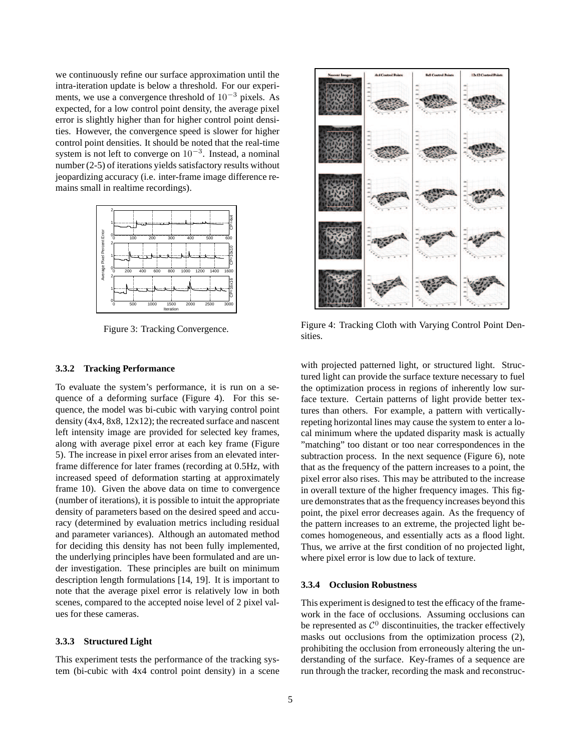we continuously refine our surface approximation until the intra-iteration update is below a threshold. For our experiments, we use a convergence threshold of 10<sup>−</sup><sup>3</sup> pixels. As expected, for a low control point density, the average pixel error is slightly higher than for higher control point densities. However, the convergence speed is slower for higher control point densities. It should be noted that the real-time system is not left to converge on  $10^{-3}$ . Instead, a nominal number (2-5) of iterations yields satisfactory results without jeopardizing accuracy (i.e. inter-frame image difference remains small in realtime recordings).



Figure 3: Tracking Convergence.

### **3.3.2 Tracking Performance**

To evaluate the system's performance, it is run on a sequence of a deforming surface (Figure 4). For this sequence, the model was bi-cubic with varying control point density (4x4, 8x8, 12x12); the recreated surface and nascent left intensity image are provided for selected key frames, along with average pixel error at each key frame (Figure 5). The increase in pixel error arises from an elevated interframe difference for later frames (recording at 0.5Hz, with increased speed of deformation starting at approximately frame 10). Given the above data on time to convergence (number of iterations), it is possible to intuit the appropriate density of parameters based on the desired speed and accuracy (determined by evaluation metrics including residual and parameter variances). Although an automated method for deciding this density has not been fully implemented, the underlying principles have been formulated and are under investigation. These principles are built on minimum description length formulations [14, 19]. It is important to note that the average pixel error is relatively low in both scenes, compared to the accepted noise level of 2 pixel values for these cameras.

#### **3.3.3 Structured Light**

This experiment tests the performance of the tracking system (bi-cubic with 4x4 control point density) in a scene



Figure 4: Tracking Cloth with Varying Control Point Densities.

with projected patterned light, or structured light. Structured light can provide the surface texture necessary to fuel the optimization process in regions of inherently low surface texture. Certain patterns of light provide better textures than others. For example, a pattern with verticallyrepeting horizontal lines may cause the system to enter a local minimum where the updated disparity mask is actually "matching" too distant or too near correspondences in the subtraction process. In the next sequence (Figure 6), note that as the frequency of the pattern increases to a point, the pixel error also rises. This may be attributed to the increase in overall texture of the higher frequency images. This figure demonstrates that as the frequency increases beyond this point, the pixel error decreases again. As the frequency of the pattern increases to an extreme, the projected light becomes homogeneous, and essentially acts as a flood light. Thus, we arrive at the first condition of no projected light, where pixel error is low due to lack of texture.

#### **3.3.4 Occlusion Robustness**

This experiment is designed to test the efficacy of the framework in the face of occlusions. Assuming occlusions can be represented as  $\mathcal{C}^0$  discontinuities, the tracker effectively masks out occlusions from the optimization process (2), prohibiting the occlusion from erroneously altering the understanding of the surface. Key-frames of a sequence are run through the tracker, recording the mask and reconstruc-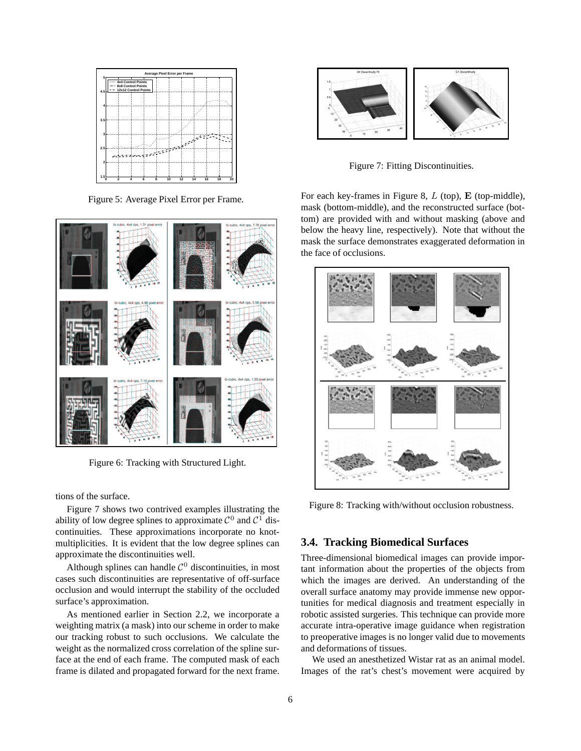

Figure 5: Average Pixel Error per Frame.



Figure 6: Tracking with Structured Light.

tions of the surface.

Figure 7 shows two contrived examples illustrating the ability of low degree splines to approximate  $C^0$  and  $C^1$  discontinuities. These approximations incorporate no knotmultiplicities. It is evident that the low degree splines can approximate the discontinuities well.

Although splines can handle  $C^0$  discontinuities, in most cases such discontinuities are representative of off-surface occlusion and would interrupt the stability of the occluded surface's approximation.

As mentioned earlier in Section 2.2, we incorporate a weighting matrix (a mask) into our scheme in order to make our tracking robust to such occlusions. We calculate the weight as the normalized cross correlation of the spline surface at the end of each frame. The computed mask of each frame is dilated and propagated forward for the next frame.



Figure 7: Fitting Discontinuities.

For each key-frames in Figure 8,  $L$  (top),  $E$  (top-middle), mask (bottom-middle), and the reconstructed surface (bottom) are provided with and without masking (above and below the heavy line, respectively). Note that without the mask the surface demonstrates exaggerated deformation in the face of occlusions.



Figure 8: Tracking with/without occlusion robustness.

### **3.4. Tracking Biomedical Surfaces**

Three-dimensional biomedical images can provide important information about the properties of the objects from which the images are derived. An understanding of the overall surface anatomy may provide immense new opportunities for medical diagnosis and treatment especially in robotic assisted surgeries. This technique can provide more accurate intra-operative image guidance when registration to preoperative images is no longer valid due to movements and deformations of tissues.

We used an anesthetized Wistar rat as an animal model. Images of the rat's chest's movement were acquired by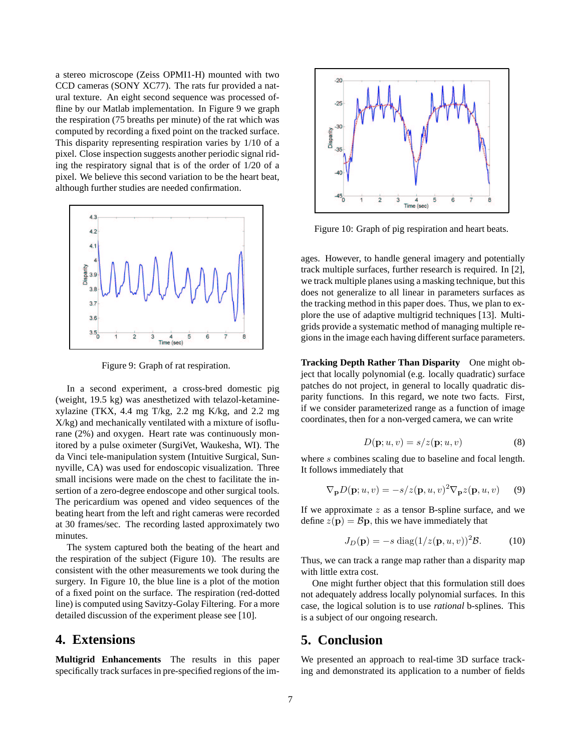a stereo microscope (Zeiss OPMI1-H) mounted with two CCD cameras (SONY XC77). The rats fur provided a natural texture. An eight second sequence was processed offline by our Matlab implementation. In Figure 9 we graph the respiration (75 breaths per minute) of the rat which was computed by recording a fixed point on the tracked surface. This disparity representing respiration varies by 1/10 of a pixel. Close inspection suggests another periodic signal riding the respiratory signal that is of the order of 1/20 of a pixel. We believe this second variation to be the heart beat, although further studies are needed confirmation.



Figure 9: Graph of rat respiration.

In a second experiment, a cross-bred domestic pig (weight, 19.5 kg) was anesthetized with telazol-ketaminexylazine (TKX, 4.4 mg T/kg, 2.2 mg K/kg, and 2.2 mg X/kg) and mechanically ventilated with a mixture of isoflurane (2%) and oxygen. Heart rate was continuously monitored by a pulse oximeter (SurgiVet, Waukesha, WI). The da Vinci tele-manipulation system (Intuitive Surgical, Sunnyville, CA) was used for endoscopic visualization. Three small incisions were made on the chest to facilitate the insertion of a zero-degree endoscope and other surgical tools. The pericardium was opened and video sequences of the beating heart from the left and right cameras were recorded at 30 frames/sec. The recording lasted approximately two minutes.

The system captured both the beating of the heart and the respiration of the subject (Figure 10). The results are consistent with the other measurements we took during the surgery. In Figure 10, the blue line is a plot of the motion of a fixed point on the surface. The respiration (red-dotted line) is computed using Savitzy-Golay Filtering. For a more detailed discussion of the experiment please see [10].

## **4. Extensions**

**Multigrid Enhancements** The results in this paper specifically track surfaces in pre-specified regions of the im-



Figure 10: Graph of pig respiration and heart beats.

ages. However, to handle general imagery and potentially track multiple surfaces, further research is required. In [2], we track multiple planes using a masking technique, but this does not generalize to all linear in parameters surfaces as the tracking method in this paper does. Thus, we plan to explore the use of adaptive multigrid techniques [13]. Multigrids provide a systematic method of managing multiple regions in the image each having different surface parameters.

**Tracking Depth Rather Than Disparity** One might object that locally polynomial (e.g. locally quadratic) surface patches do not project, in general to locally quadratic disparity functions. In this regard, we note two facts. First, if we consider parameterized range as a function of image coordinates, then for a non-verged camera, we can write

$$
D(\mathbf{p}; u, v) = s/z(\mathbf{p}; u, v)
$$
 (8)

where s combines scaling due to baseline and focal length. It follows immediately that

$$
\nabla_{\mathbf{p}} D(\mathbf{p}; u, v) = -s/z(\mathbf{p}, u, v)^2 \nabla_{\mathbf{p}} z(\mathbf{p}, u, v)
$$
(9)

If we approximate  $z$  as a tensor B-spline surface, and we define  $z(\mathbf{p}) = \mathcal{B}\mathbf{p}$ , this we have immediately that

$$
J_D(\mathbf{p}) = -s \operatorname{diag}(1/z(\mathbf{p}, u, v))^2 \mathcal{B}.
$$
 (10)

Thus, we can track a range map rather than a disparity map with little extra cost.

One might further object that this formulation still does not adequately address locally polynomial surfaces. In this case, the logical solution is to use *rational* b-splines. This is a subject of our ongoing research.

## **5. Conclusion**

We presented an approach to real-time 3D surface tracking and demonstrated its application to a number of fields